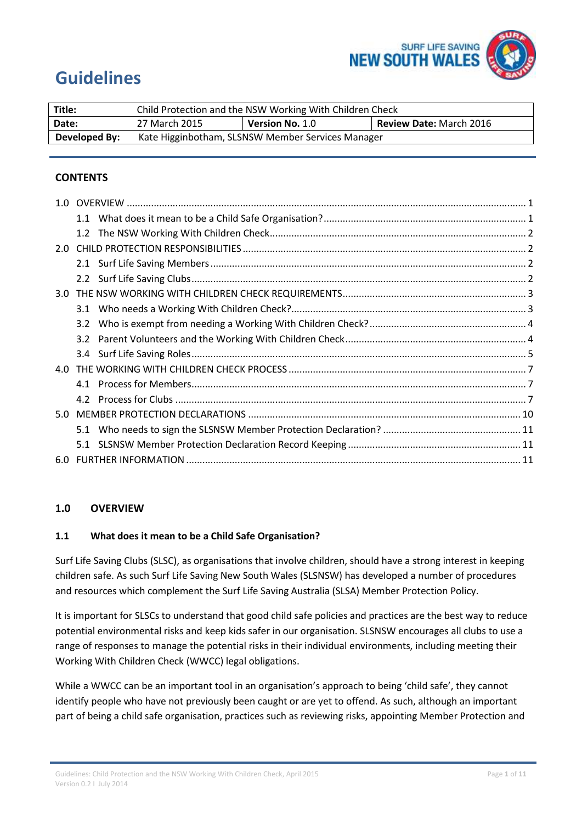

# **Guidelines**

| Title:        | Child Protection and the NSW Working With Children Check |                        |                                |
|---------------|----------------------------------------------------------|------------------------|--------------------------------|
| Date:         | 27 March 2015                                            | <b>Version No. 1.0</b> | <b>Review Date: March 2016</b> |
| Developed By: | Kate Higginbotham, SLSNSW Member Services Manager        |                        |                                |

## **CONTENTS**

| $3.0^{\circ}$ |     |  |
|---------------|-----|--|
|               |     |  |
|               | 3.2 |  |
|               |     |  |
|               |     |  |
|               |     |  |
|               |     |  |
|               |     |  |
|               |     |  |
|               |     |  |
|               |     |  |
|               |     |  |

## <span id="page-0-0"></span>**1.0 OVERVIEW**

## <span id="page-0-1"></span>**1.1 What does it mean to be a Child Safe Organisation?**

Surf Life Saving Clubs (SLSC), as organisations that involve children, should have a strong interest in keeping children safe. As such Surf Life Saving New South Wales (SLSNSW) has developed a number of procedures and resources which complement the Surf Life Saving Australia (SLSA) Member Protection Policy.

It is important for SLSCs to understand that good child safe policies and practices are the best way to reduce potential environmental risks and keep kids safer in our organisation. SLSNSW encourages all clubs to use a range of responses to manage the potential risks in their individual environments, including meeting their Working With Children Check (WWCC) legal obligations.

While a WWCC can be an important tool in an organisation's approach to being 'child safe', they cannot identify people who have not previously been caught or are yet to offend. As such, although an important part of being a child safe organisation, practices such as reviewing risks, appointing Member Protection and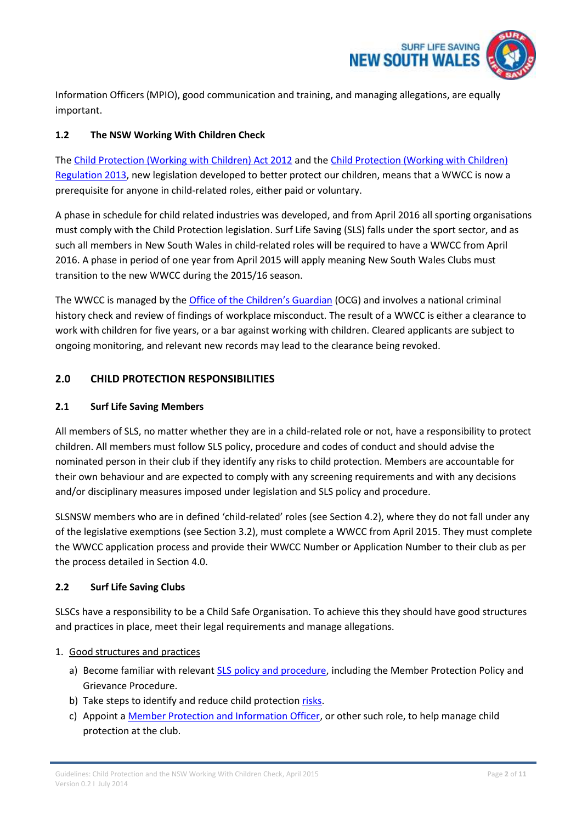

Information Officers (MPIO), good communication and training, and managing allegations, are equally important.

## <span id="page-1-0"></span>**1.2 The NSW Working With Children Check**

The [Child Protection \(Working with Children\) Act 2012](http://www.legislation.nsw.gov.au/maintop/view/inforce/act+51+2012+cd+0+N) and the [Child Protection \(Working with Children\)](http://www.legislation.nsw.gov.au/maintop/view/inforce/subordleg+156+2013+cd+0+N)  [Regulation 2013,](http://www.legislation.nsw.gov.au/maintop/view/inforce/subordleg+156+2013+cd+0+N) new legislation developed to better protect our children, means that a WWCC is now a prerequisite for anyone in child-related roles, either paid or voluntary.

A phase in schedule for child related industries was developed, and from April 2016 all sporting organisations must comply with the Child Protection legislation. Surf Life Saving (SLS) falls under the sport sector, and as such all members in New South Wales in child-related roles will be required to have a WWCC from April 2016. A phase in period of one year from April 2015 will apply meaning New South Wales Clubs must transition to the new WWCC during the 2015/16 season.

The WWCC is managed by the **[Office of the Children's Guardian](http://www.kidsguardian.nsw.gov.au/)** (OCG) and involves a national criminal history check and review of findings of workplace misconduct. The result of a WWCC is either a clearance to work with children for five years, or a bar against working with children. Cleared applicants are subject to ongoing monitoring, and relevant new records may lead to the clearance being revoked.

## <span id="page-1-1"></span>**2.0 CHILD PROTECTION RESPONSIBILITIES**

## <span id="page-1-2"></span>**2.1 Surf Life Saving Members**

All members of SLS, no matter whether they are in a child-related role or not, have a responsibility to protect children. All members must follow SLS policy, procedure and codes of conduct and should advise the nominated person in their club if they identify any risks to child protection. Members are accountable for their own behaviour and are expected to comply with any screening requirements and with any decisions and/or disciplinary measures imposed under legislation and SLS policy and procedure.

SLSNSW members who are in defined 'child-related' roles (see Section 4.2), where they do not fall under any of the legislative exemptions (see Section 3.2), must complete a WWCC from April 2015. They must complete the WWCC application process and provide their WWCC Number or Application Number to their club as per the process detailed in Section 4.0.

## <span id="page-1-3"></span>**2.2 Surf Life Saving Clubs**

SLSCs have a responsibility to be a Child Safe Organisation. To achieve this they should have good structures and practices in place, meet their legal requirements and manage allegations.

## 1. Good structures and practices

- a) Become familiar with relevant [SLS policy and procedure,](https://portal.sls.com.au/) including the Member Protection Policy and Grievance Procedure.
- b) Take steps to identify and reduce child protection [risks.](http://www.kidsguardian.nsw.gov.au/working-with-children/child-safe-organisations/risk-management)
- c) Appoint a [Member Protection and Information Officer,](http://www.ausport.gov.au/supporting/integrity_in_sport/resources/mpio_education) or other such role, to help manage child protection at the club.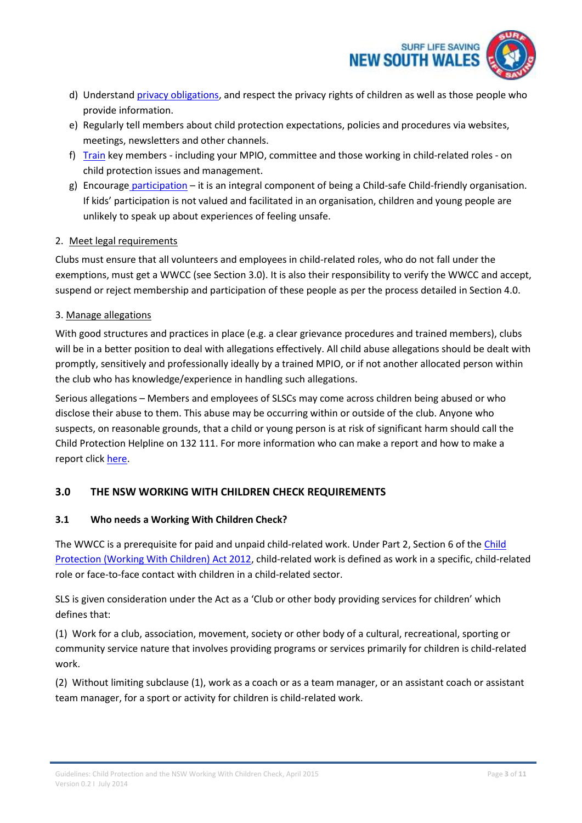

- d) Understand [privacy obligations,](http://www.kidsguardian.nsw.gov.au/working-with-children/child-safe-organisations/privacy-considerations) and respect the privacy rights of children as well as those people who provide information.
- e) Regularly tell members about child protection expectations, policies and procedures via websites, meetings, newsletters and other channels.
- f) [Train](http://www.dsr.nsw.gov.au/sportsclubs/ryc_child_training.asp) key members including your MPIO, committee and those working in child-related roles on child protection issues and management.
- g) Encourage [participation](http://www.kidsguardian.nsw.gov.au/working-with-children/child-safe-organisations/listening-to-children-and-young-people) it is an integral component of being a Child-safe Child-friendly organisation. If kids' participation is not valued and facilitated in an organisation, children and young people are unlikely to speak up about experiences of feeling unsafe.

## 2. Meet legal requirements

Clubs must ensure that all volunteers and employees in child-related roles, who do not fall under the exemptions, must get a WWCC (see Section 3.0). It is also their responsibility to verify the WWCC and accept, suspend or reject membership and participation of these people as per the process detailed in Section 4.0.

## 3. Manage allegations

With good structures and practices in place (e.g. a clear grievance procedures and trained members), clubs will be in a better position to deal with allegations effectively. All child abuse allegations should be dealt with promptly, sensitively and professionally ideally by a trained MPIO, or if not another allocated person within the club who has knowledge/experience in handling such allegations.

Serious allegations – Members and employees of SLSCs may come across children being abused or who disclose their abuse to them. This abuse may be occurring within or outside of the club. Anyone who suspects, on reasonable grounds, that a child or young person is at risk of significant harm should call the Child Protection Helpline on 132 111. For more information who can make a report and how to make a report click [here.](http://www.kidsguardian.nsw.gov.au/working-with-children/child-safe-organisations/complaints-management)

# <span id="page-2-0"></span>**3.0 THE NSW WORKING WITH CHILDREN CHECK REQUIREMENTS**

# <span id="page-2-1"></span>**3.1 Who needs a Working With Children Check?**

The WWCC is a prerequisite for paid and unpaid child-related work. Under Part 2, Section 6 of the [Child](http://www.legislation.nsw.gov.au/maintop/view/inforce/act+51+2012+cd+0+N)  [Protection \(Working With Children\) Act 2012,](http://www.legislation.nsw.gov.au/maintop/view/inforce/act+51+2012+cd+0+N) child-related work is defined as work in a specific, child-related role or face-to-face contact with children in a child-related sector.

SLS is given consideration under the Act as a 'Club or other body providing services for children' which defines that:

(1) Work for a club, association, movement, society or other body of a cultural, recreational, sporting or community service nature that involves providing programs or services primarily for children is child-related work.

(2) Without limiting subclause (1), work as a coach or as a team manager, or an assistant coach or assistant team manager, for a sport or activity for children is child-related work.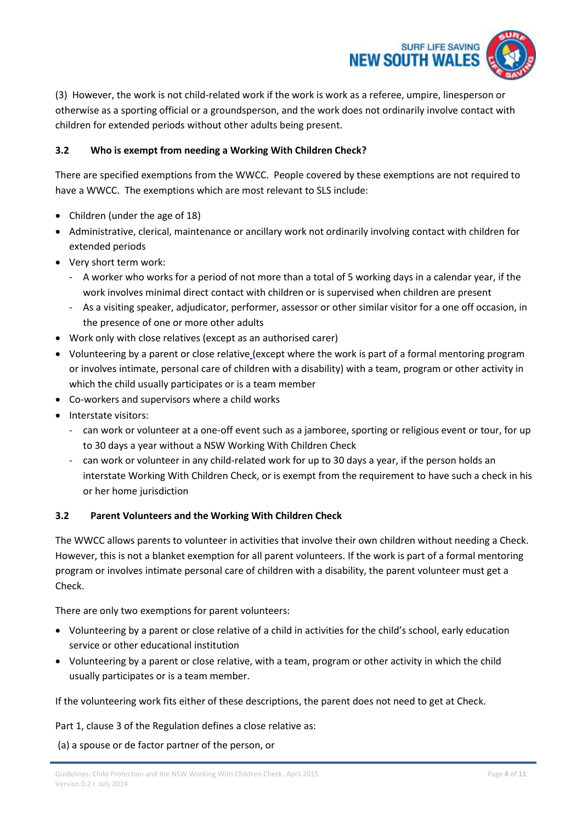

(3) However, the work is not child-related work if the work is work as a referee, umpire, linesperson or otherwise as a sporting official or a groundsperson, and the work does not ordinarily involve contact with children for extended periods without other adults being present.

## <span id="page-3-0"></span>**3.2 Who is exempt from needing a Working With Children Check?**

There are specified exemptions from the WWCC. People covered by these exemptions are not required to have a WWCC. The exemptions which are most relevant to SLS include:

- Children (under the age of 18)
- Administrative, clerical, maintenance or ancillary work not ordinarily involving contact with children for extended periods
- Very short term work:
	- A worker who works for a period of not more than a total of 5 working days in a calendar year, if the work involves minimal direct contact with children or is supervised when children are present
	- As a visiting speaker, adjudicator, performer, assessor or other similar visitor for a one off occasion, in the presence of one or more other adults
- Work only with close relatives (except as an authorised carer)
- Volunteering by a parent or close relative [\(](http://www.kidsguardian.nsw.gov.au/Working-with-children/Working-With-Children-Check/Definitions)except where the work is part of a formal mentoring program or involves intimate, personal care of children with a disability) with a team, program or other activity in which the child usually participates or is a team member
- Co-workers and supervisors where a child works
- Interstate visitors:
	- can work or volunteer at a one-off event such as a jamboree, sporting or religious event or tour, for up to 30 days a year without a NSW Working With Children Check
	- can work or volunteer in any child-related work for up to 30 days a year, if the person holds an interstate Working With Children Check, or is exempt from the requirement to have such a check in his or her home jurisdiction

## <span id="page-3-1"></span>**3.2 Parent Volunteers and the Working With Children Check**

The WWCC allows parents to volunteer in activities that involve their own children without needing a Check. However, this is not a blanket exemption for all parent volunteers. If the work is part of a formal mentoring program or involves intimate personal care of children with a disability, the parent volunteer must get a Check.

There are only two exemptions for parent volunteers:

- Volunteering by a parent or close relative of a child in activities for the child's school, early education service or other educational institution
- Volunteering by a parent or close relative, with a team, program or other activity in which the child usually participates or is a team member.

If the volunteering work fits either of these descriptions, the parent does not need to get at Check.

Part 1, clause 3 of the Regulation defines a close relative as:

(a) a spouse or de factor partner of the person, or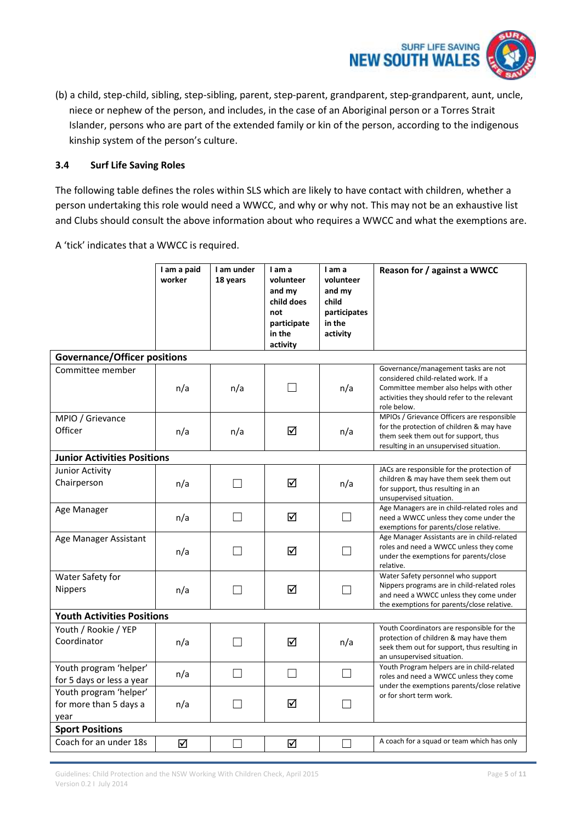

(b) a child, step-child, sibling, step-sibling, parent, step-parent, grandparent, step-grandparent, aunt, uncle, niece or nephew of the person, and includes, in the case of an Aboriginal person or a Torres Strait Islander, persons who are part of the extended family or kin of the person, according to the indigenous kinship system of the person's culture.

## <span id="page-4-0"></span>**3.4 Surf Life Saving Roles**

The following table defines the roles within SLS which are likely to have contact with children, whether a person undertaking this role would need a WWCC, and why or why not. This may not be an exhaustive list and Clubs should consult the above information about who requires a WWCC and what the exemptions are.

A 'tick' indicates that a WWCC is required.

|                                                          | I am a paid<br>worker | I am under<br>18 years   | I am a<br>volunteer<br>and my<br>child does<br>not<br>participate<br>in the<br>activity | I am a<br>volunteer<br>and my<br>child<br>participates<br>in the<br>activity | Reason for / against a WWCC                                                                                                                                                         |
|----------------------------------------------------------|-----------------------|--------------------------|-----------------------------------------------------------------------------------------|------------------------------------------------------------------------------|-------------------------------------------------------------------------------------------------------------------------------------------------------------------------------------|
| <b>Governance/Officer positions</b>                      |                       |                          |                                                                                         |                                                                              |                                                                                                                                                                                     |
| Committee member                                         | n/a                   | n/a                      | $\blacksquare$                                                                          | n/a                                                                          | Governance/management tasks are not<br>considered child-related work. If a<br>Committee member also helps with other<br>activities they should refer to the relevant<br>role below. |
| MPIO / Grievance<br>Officer                              | n/a                   | n/a                      | ☑                                                                                       | n/a                                                                          | MPIOs / Grievance Officers are responsible<br>for the protection of children & may have<br>them seek them out for support, thus<br>resulting in an unsupervised situation.          |
| <b>Junior Activities Positions</b>                       |                       |                          |                                                                                         |                                                                              |                                                                                                                                                                                     |
| Junior Activity<br>Chairperson                           | n/a                   | $\overline{\phantom{a}}$ | ☑                                                                                       | n/a                                                                          | JACs are responsible for the protection of<br>children & may have them seek them out<br>for support, thus resulting in an<br>unsupervised situation.                                |
| Age Manager                                              | n/a                   | $\Box$                   | ☑                                                                                       |                                                                              | Age Managers are in child-related roles and<br>need a WWCC unless they come under the<br>exemptions for parents/close relative.                                                     |
| Age Manager Assistant                                    | n/a                   | $\overline{\phantom{a}}$ | ☑                                                                                       | $\vert \ \ \vert$                                                            | Age Manager Assistants are in child-related<br>roles and need a WWCC unless they come<br>under the exemptions for parents/close<br>relative.                                        |
| Water Safety for<br><b>Nippers</b>                       | n/a                   | H                        | ☑                                                                                       |                                                                              | Water Safety personnel who support<br>Nippers programs are in child-related roles<br>and need a WWCC unless they come under<br>the exemptions for parents/close relative.           |
| <b>Youth Activities Positions</b>                        |                       |                          |                                                                                         |                                                                              |                                                                                                                                                                                     |
| Youth / Rookie / YEP<br>Coordinator                      | n/a                   | - 1                      | ☑                                                                                       | n/a                                                                          | Youth Coordinators are responsible for the<br>protection of children & may have them<br>seek them out for support, thus resulting in<br>an unsupervised situation.                  |
| Youth program 'helper'<br>for 5 days or less a year      | n/a                   |                          |                                                                                         |                                                                              | Youth Program helpers are in child-related<br>roles and need a WWCC unless they come<br>under the exemptions parents/close relative                                                 |
| Youth program 'helper'<br>for more than 5 days a<br>year | n/a                   | $\vert \ \ \vert$        | ☑                                                                                       | $\vert \ \ \vert$                                                            | or for short term work.                                                                                                                                                             |
| <b>Sport Positions</b>                                   |                       |                          |                                                                                         |                                                                              |                                                                                                                                                                                     |
| Coach for an under 18s                                   | ☑                     | - 1                      | ☑                                                                                       | $\vert \ \ \vert$                                                            | A coach for a squad or team which has only                                                                                                                                          |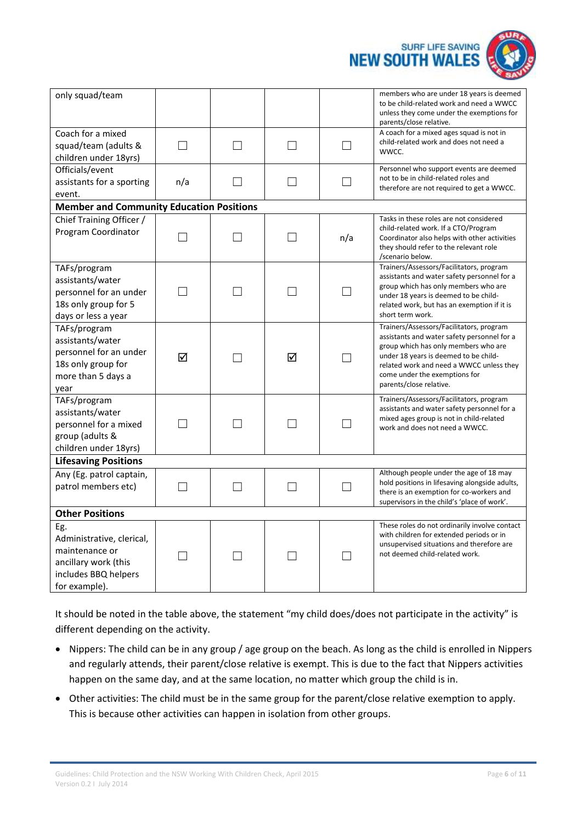

| only squad/team                                                                                                     |                   |                          |                   |                   | members who are under 18 years is deemed<br>to be child-related work and need a WWCC<br>unless they come under the exemptions for<br>parents/close relative.                                                                                                                     |
|---------------------------------------------------------------------------------------------------------------------|-------------------|--------------------------|-------------------|-------------------|----------------------------------------------------------------------------------------------------------------------------------------------------------------------------------------------------------------------------------------------------------------------------------|
| Coach for a mixed<br>squad/team (adults &<br>children under 18yrs)                                                  | $\mathsf{L}$      | $\overline{\phantom{a}}$ |                   |                   | A coach for a mixed ages squad is not in<br>child-related work and does not need a<br>WWCC.                                                                                                                                                                                      |
| Officials/event<br>assistants for a sporting<br>event.                                                              | n/a               |                          |                   |                   | Personnel who support events are deemed<br>not to be in child-related roles and<br>therefore are not required to get a WWCC.                                                                                                                                                     |
| <b>Member and Community Education Positions</b>                                                                     |                   |                          |                   |                   |                                                                                                                                                                                                                                                                                  |
| Chief Training Officer /<br>Program Coordinator                                                                     |                   |                          |                   | n/a               | Tasks in these roles are not considered<br>child-related work. If a CTO/Program<br>Coordinator also helps with other activities<br>they should refer to the relevant role<br>/scenario below.                                                                                    |
| TAFs/program<br>assistants/water<br>personnel for an under<br>18s only group for 5<br>days or less a year           |                   |                          |                   |                   | Trainers/Assessors/Facilitators, program<br>assistants and water safety personnel for a<br>group which has only members who are<br>under 18 years is deemed to be child-<br>related work, but has an exemption if it is<br>short term work.                                      |
| TAFs/program<br>assistants/water<br>personnel for an under<br>18s only group for<br>more than 5 days a<br>year      | ☑                 |                          | ☑                 |                   | Trainers/Assessors/Facilitators, program<br>assistants and water safety personnel for a<br>group which has only members who are<br>under 18 years is deemed to be child-<br>related work and need a WWCC unless they<br>come under the exemptions for<br>parents/close relative. |
| TAFs/program<br>assistants/water<br>personnel for a mixed<br>group (adults &<br>children under 18yrs)               |                   | - 1                      |                   |                   | Trainers/Assessors/Facilitators, program<br>assistants and water safety personnel for a<br>mixed ages group is not in child-related<br>work and does not need a WWCC.                                                                                                            |
| <b>Lifesaving Positions</b>                                                                                         |                   |                          |                   |                   |                                                                                                                                                                                                                                                                                  |
| Any (Eg. patrol captain,<br>patrol members etc)                                                                     | $\vert \ \ \vert$ | $\mathsf{L}$             | $\vert \ \ \vert$ | $\vert \ \ \vert$ | Although people under the age of 18 may<br>hold positions in lifesaving alongside adults,<br>there is an exemption for co-workers and<br>supervisors in the child's 'place of work'.                                                                                             |
| <b>Other Positions</b>                                                                                              |                   |                          |                   |                   |                                                                                                                                                                                                                                                                                  |
| Eg.<br>Administrative, clerical,<br>maintenance or<br>ancillary work (this<br>includes BBQ helpers<br>for example). |                   |                          |                   |                   | These roles do not ordinarily involve contact<br>with children for extended periods or in<br>unsupervised situations and therefore are<br>not deemed child-related work.                                                                                                         |

It should be noted in the table above, the statement "my child does/does not participate in the activity" is different depending on the activity.

- Nippers: The child can be in any group / age group on the beach. As long as the child is enrolled in Nippers and regularly attends, their parent/close relative is exempt. This is due to the fact that Nippers activities happen on the same day, and at the same location, no matter which group the child is in.
- Other activities: The child must be in the same group for the parent/close relative exemption to apply. This is because other activities can happen in isolation from other groups.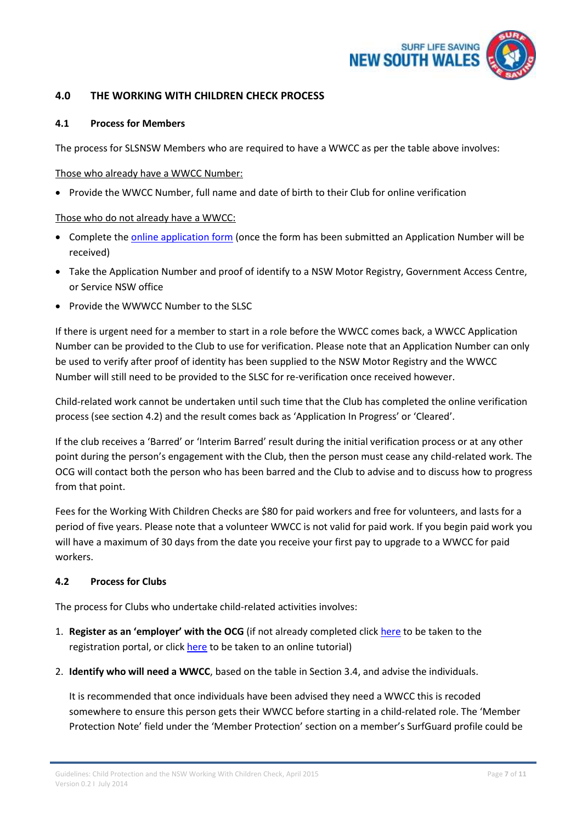

## <span id="page-6-0"></span>**4.0 THE WORKING WITH CHILDREN CHECK PROCESS**

#### <span id="page-6-1"></span>**4.1 Process for Members**

The process for SLSNSW Members who are required to have a WWCC as per the table above involves:

#### Those who already have a WWCC Number:

• Provide the WWCC Number, full name and date of birth to their Club for online verification

## Those who do not already have a WWCC:

- Complete the [online application form](http://www.kidsguardian.nsw.gov.au/working-with-children/working-with-children-check/apply/apply) (once the form has been submitted an Application Number will be received)
- Take the Application Number and proof of identify to a NSW Motor Registry, Government Access Centre, or Service NSW office
- Provide the WWWCC Number to the SLSC

If there is urgent need for a member to start in a role before the WWCC comes back, a WWCC Application Number can be provided to the Club to use for verification. Please note that an Application Number can only be used to verify after proof of identity has been supplied to the NSW Motor Registry and the WWCC Number will still need to be provided to the SLSC for re-verification once received however.

Child-related work cannot be undertaken until such time that the Club has completed the online verification process (see section 4.2) and the result comes back as 'Application In Progress' or 'Cleared'.

If the club receives a 'Barred' or 'Interim Barred' result during the initial verification process or at any other point during the person's engagement with the Club, then the person must cease any child-related work. The OCG will contact both the person who has been barred and the Club to advise and to discuss how to progress from that point.

Fees for the Working With Children Checks are \$80 for paid workers and free for volunteers, and lasts for a period of five years. Please note that a volunteer WWCC is not valid for paid work. If you begin paid work you will have a maximum of 30 days from the date you receive your first pay to upgrade to a WWCC for paid workers.

### <span id="page-6-2"></span>**4.2 Process for Clubs**

The process for Clubs who undertake child-related activities involves:

- 1. **Register as an 'employer' with the OCG** (if not already completed clic[k here](http://www.kidsguardian.nsw.gov.au/Working-with-children/Working-With-Children-Check/apply/-apply) to be taken to the registration portal, or click [here](https://www.youtube.com/watch?v=1pVxHDQ9yBs) to be taken to an online tutorial)
- 2. **Identify who will need a WWCC**, based on the table in Section 3.4, and advise the individuals.

It is recommended that once individuals have been advised they need a WWCC this is recoded somewhere to ensure this person gets their WWCC before starting in a child-related role. The 'Member Protection Note' field under the 'Member Protection' section on a member's SurfGuard profile could be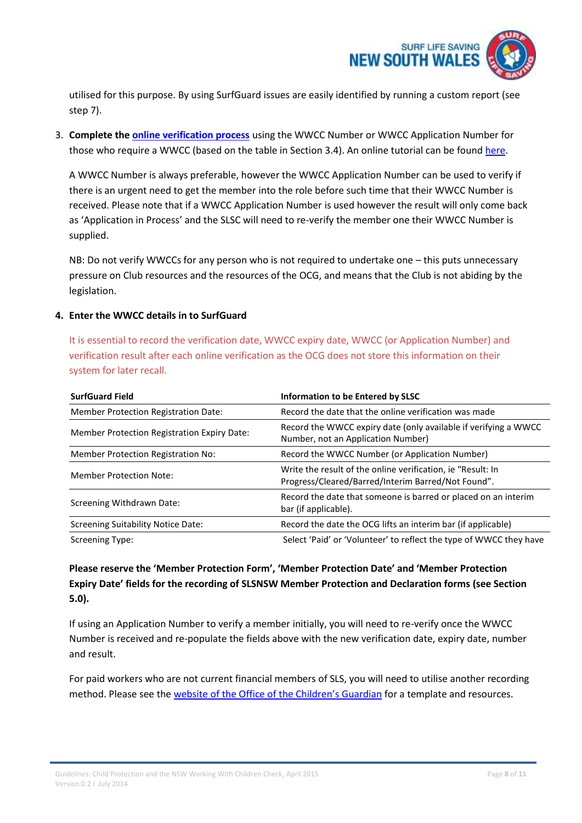

utilised for this purpose. By using SurfGuard issues are easily identified by running a custom report (see step 7).

3. **Complete the [online verification process](http://www.kidsguardian.nsw.gov.au/working-with-children/working-with-children-check/apply/apply)** using the WWCC Number or WWCC Application Number for those who require a WWCC (based on the table in Section 3.4). An online tutorial can be found [here.](https://www.youtube.com/watch?v=2qUq_59Zmzc)

A WWCC Number is always preferable, however the WWCC Application Number can be used to verify if there is an urgent need to get the member into the role before such time that their WWCC Number is received. Please note that if a WWCC Application Number is used however the result will only come back as 'Application in Process' and the SLSC will need to re-verify the member one their WWCC Number is supplied.

NB: Do not verify WWCCs for any person who is not required to undertake one – this puts unnecessary pressure on Club resources and the resources of the OCG, and means that the Club is not abiding by the legislation.

#### **4. Enter the WWCC details in to SurfGuard**

It is essential to record the verification date, WWCC expiry date, WWCC (or Application Number) and verification result after each online verification as the OCG does not store this information on their system for later recall.

| <b>SurfGuard Field</b>                      | Information to be Entered by SLSC                                                                                 |
|---------------------------------------------|-------------------------------------------------------------------------------------------------------------------|
| Member Protection Registration Date:        | Record the date that the online verification was made                                                             |
| Member Protection Registration Expiry Date: | Record the WWCC expiry date (only available if verifying a WWCC<br>Number, not an Application Number)             |
| Member Protection Registration No:          | Record the WWCC Number (or Application Number)                                                                    |
| <b>Member Protection Note:</b>              | Write the result of the online verification, ie "Result: In<br>Progress/Cleared/Barred/Interim Barred/Not Found". |
| Screening Withdrawn Date:                   | Record the date that someone is barred or placed on an interim<br>bar (if applicable).                            |
| <b>Screening Suitability Notice Date:</b>   | Record the date the OCG lifts an interim bar (if applicable)                                                      |
| <b>Screening Type:</b>                      | Select 'Paid' or 'Volunteer' to reflect the type of WWCC they have                                                |

# **Please reserve the 'Member Protection Form', 'Member Protection Date' and 'Member Protection Expiry Date' fields for the recording of SLSNSW Member Protection and Declaration forms (see Section 5.0).**

If using an Application Number to verify a member initially, you will need to re-verify once the WWCC Number is received and re-populate the fields above with the new verification date, expiry date, number and result.

For paid workers who are not current financial members of SLS, you will need to utilise another recording method. Please see the [website of the Office of the Children's Guardian](http://www.kidsguardian.nsw.gov.au/working-with-children/working-with-children-check/resources) for a template and resources.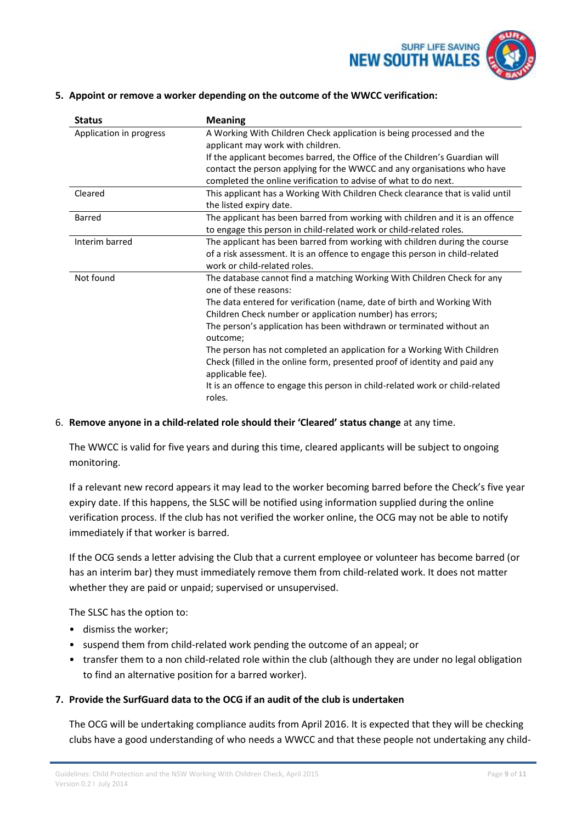

#### **5. Appoint or remove a worker depending on the outcome of the WWCC verification:**

| <b>Status</b>           | <b>Meaning</b>                                                                                 |
|-------------------------|------------------------------------------------------------------------------------------------|
| Application in progress | A Working With Children Check application is being processed and the                           |
|                         | applicant may work with children.                                                              |
|                         | If the applicant becomes barred, the Office of the Children's Guardian will                    |
|                         | contact the person applying for the WWCC and any organisations who have                        |
|                         | completed the online verification to advise of what to do next.                                |
| Cleared                 | This applicant has a Working With Children Check clearance that is valid until                 |
|                         | the listed expiry date.                                                                        |
| Barred                  | The applicant has been barred from working with children and it is an offence                  |
|                         | to engage this person in child-related work or child-related roles.                            |
| Interim barred          | The applicant has been barred from working with children during the course                     |
|                         | of a risk assessment. It is an offence to engage this person in child-related                  |
|                         | work or child-related roles.                                                                   |
| Not found               | The database cannot find a matching Working With Children Check for any                        |
|                         | one of these reasons:                                                                          |
|                         | The data entered for verification (name, date of birth and Working With                        |
|                         | Children Check number or application number) has errors;                                       |
|                         | The person's application has been withdrawn or terminated without an                           |
|                         | outcome;                                                                                       |
|                         | The person has not completed an application for a Working With Children                        |
|                         | Check (filled in the online form, presented proof of identity and paid any<br>applicable fee). |
|                         | It is an offence to engage this person in child-related work or child-related<br>roles.        |
|                         |                                                                                                |

#### 6. **Remove anyone in a child-related role should their 'Cleared' status change** at any time.

The WWCC is valid for five years and during this time, cleared applicants will be subject to ongoing monitoring.

If a relevant new record appears it may lead to the worker becoming barred before the Check's five year expiry date. If this happens, the SLSC will be notified using information supplied during the online verification process. If the club has not verified the worker online, the OCG may not be able to notify immediately if that worker is barred.

If the OCG sends a letter advising the Club that a current employee or volunteer has become barred (or has an interim bar) they must immediately remove them from child-related work. It does not matter whether they are paid or unpaid; supervised or unsupervised.

The SLSC has the option to:

- dismiss the worker;
- suspend them from child-related work pending the outcome of an appeal; or
- transfer them to a non child-related role within the club (although they are under no legal obligation to find an alternative position for a barred worker).

#### **7. Provide the SurfGuard data to the OCG if an audit of the club is undertaken**

The OCG will be undertaking compliance audits from April 2016. It is expected that they will be checking clubs have a good understanding of who needs a WWCC and that these people not undertaking any child-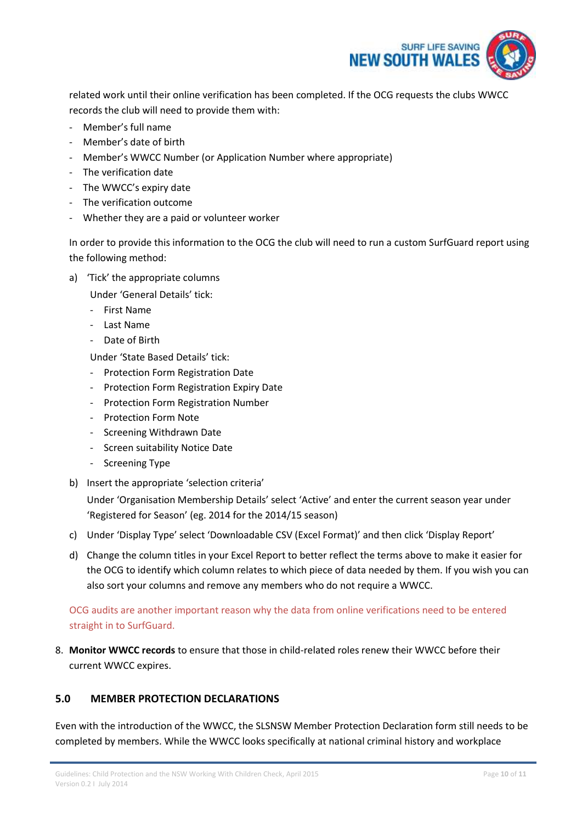

related work until their online verification has been completed. If the OCG requests the clubs WWCC records the club will need to provide them with:

- Member's full name
- Member's date of birth
- Member's WWCC Number (or Application Number where appropriate)
- The verification date
- The WWCC's expiry date
- The verification outcome
- Whether they are a paid or volunteer worker

In order to provide this information to the OCG the club will need to run a custom SurfGuard report using the following method:

a) 'Tick' the appropriate columns

Under 'General Details' tick:

- First Name
- Last Name
- Date of Birth

Under 'State Based Details' tick:

- Protection Form Registration Date
- Protection Form Registration Expiry Date
- Protection Form Registration Number
- Protection Form Note
- Screening Withdrawn Date
- Screen suitability Notice Date
- Screening Type
- b) Insert the appropriate 'selection criteria'

Under 'Organisation Membership Details' select 'Active' and enter the current season year under 'Registered for Season' (eg. 2014 for the 2014/15 season)

- c) Under 'Display Type' select 'Downloadable CSV (Excel Format)' and then click 'Display Report'
- d) Change the column titles in your Excel Report to better reflect the terms above to make it easier for the OCG to identify which column relates to which piece of data needed by them. If you wish you can also sort your columns and remove any members who do not require a WWCC.

# OCG audits are another important reason why the data from online verifications need to be entered straight in to SurfGuard.

8. **Monitor WWCC records** to ensure that those in child-related roles renew their WWCC before their current WWCC expires.

# <span id="page-9-0"></span>**5.0 MEMBER PROTECTION DECLARATIONS**

Even with the introduction of the WWCC, the SLSNSW Member Protection Declaration form still needs to be completed by members. While the WWCC looks specifically at national criminal history and workplace